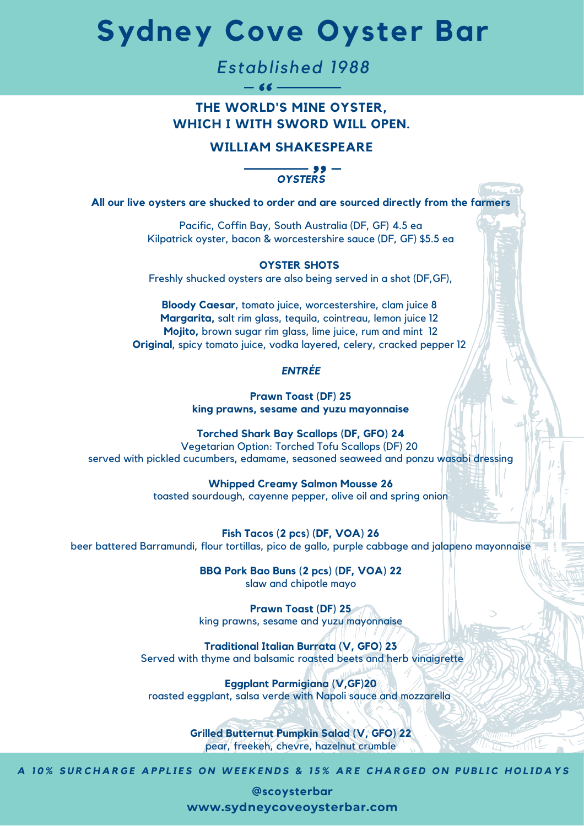# **Sydney Cove Oyster Bar**

*Established 1988*

 $-66$  —

## **THE WORLD'S MINE OYSTER, WHICH I WITH SWORD WILL OPEN.**

## **WILLIAM SHAKESPEARE**

*OYSTERS*

**All our live oysters are shucked to order and are sourced directly from the farmers**

Pacific, Coffin Bay, South Australia (DF, GF) 4.5 ea Kilpatrick oyster, bacon & worcestershire sauce (DF, GF) \$5.5 ea

#### **OYSTER SHOTS**

Freshly shucked oysters are also being served in a shot (DF,GF),

**Bloody Caesar**, tomato juice, worcestershire, clam juice 8 **Margarita,** salt rim glass, tequila, cointreau, lemon juice 12 **Mojito,** brown sugar rim glass, lime juice, rum and mint 12 **Original**, spicy tomato juice, vodka layered, celery, cracked pepper 12

### *ENTRÉE*

**Prawn Toast (DF) 25 king prawns, sesame and yuzu mayonnaise**

**Torched Shark Bay Scallops (DF, GFO) 24** Vegetarian Option: Torched Tofu Scallops (DF) 20 served with pickled cucumbers, edamame, seasoned seaweed and ponzu wasabi dressing

> **Whipped Creamy Salmon Mousse 26** toasted sourdough, cayenne pepper, olive oil and spring onion

**Fish Tacos (2 pcs) (DF, VOA) 26** beer battered Barramundi, flour tortillas, pico de gallo, purple cabbage and jalapeno mayonnaise

> **BBQ Pork Bao Buns (2 pcs) (DF, VOA) 22** slaw and chipotle mayo

> **Prawn Toast (DF) 25** king prawns, sesame and yuzu mayonnaise

**Traditional Italian Burrata (V, GFO) 23** Served with thyme and balsamic roasted beets and herb vinaigrette

**Eggplant Parmigiana (V,GF)20** roasted eggplant, salsa verde with Napoli sauce and mozzarella

> **Grilled Butternut Pumpkin Salad (V, GFO) 22** pear, freekeh, chevre, hazelnut crumble

A 10% SURCHARGE APPLIES ON WEEKENDS & 15% ARE CHARGED ON PUBLIC HOLIDAYS

**@scoysterbar www.sydneycoveoysterbar.com**